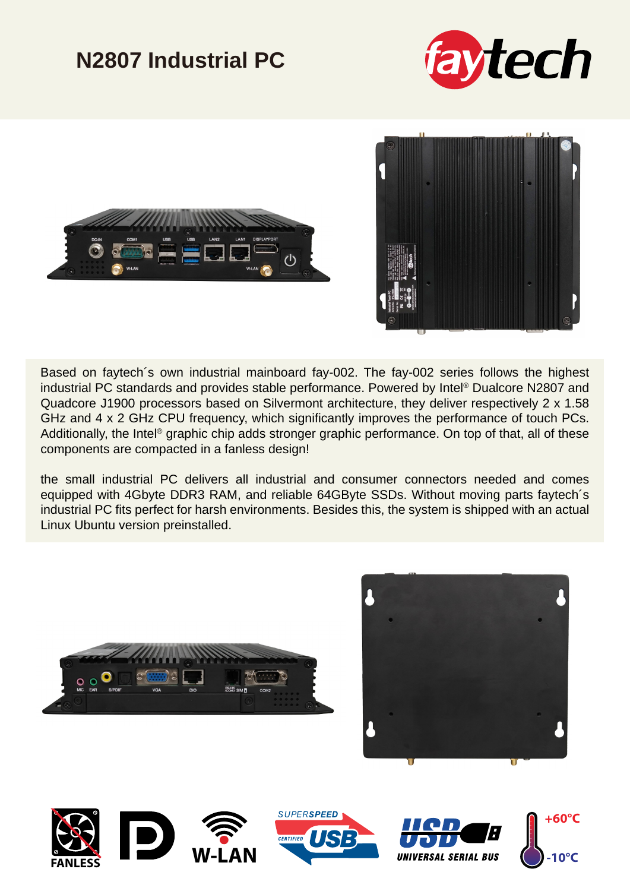## **N2807 Industrial PC**







Based on faytech´s own industrial mainboard fay-002. The fay-002 series follows the highest industrial PC standards and provides stable performance. Powered by Intel® Dualcore N2807 and Quadcore J1900 processors based on Silvermont architecture, they deliver respectively 2 x 1.58 GHz and 4 x 2 GHz CPU frequency, which significantly improves the performance of touch PCs. Additionally, the Intel® graphic chip adds stronger graphic performance. On top of that, all of these components are compacted in a fanless design!

the small industrial PC delivers all industrial and consumer connectors needed and comes equipped with 4Gbyte DDR3 RAM, and reliable 64GByte SSDs. Without moving parts faytech´s industrial PC fits perfect for harsh environments. Besides this, the system is shipped with an actual Linux Ubuntu version preinstalled.